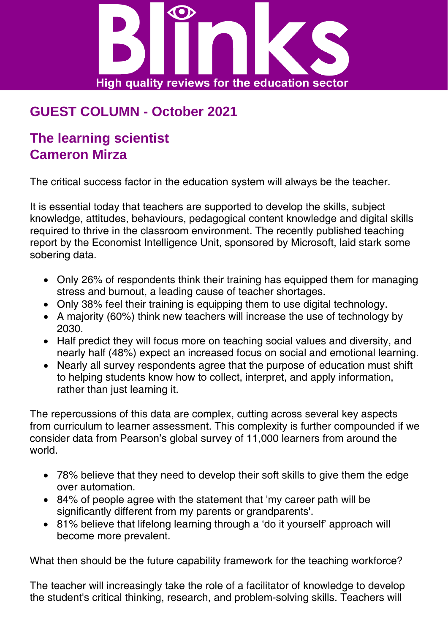

## **GUEST COLUMN - October 2021**

## **The learning scientist Cameron Mirza**

The critical success factor in the education system will always be the teacher.

It is essential today that teachers are supported to develop the skills, subject knowledge, attitudes, behaviours, pedagogical content knowledge and digital skills required to thrive in the classroom environment. The recently published teaching report by the Economist Intelligence Unit, sponsored by Microsoft, laid stark some sobering data.

- Only 26% of respondents think their training has equipped them for managing stress and burnout, a leading cause of teacher shortages.
- Only 38% feel their training is equipping them to use digital technology.
- A majority (60%) think new teachers will increase the use of technology by 2030.
- Half predict they will focus more on teaching social values and diversity, and nearly half (48%) expect an increased focus on social and emotional learning.
- Nearly all survey respondents agree that the purpose of education must shift to helping students know how to collect, interpret, and apply information, rather than just learning it.

The repercussions of this data are complex, cutting across several key aspects from curriculum to learner assessment. This complexity is further compounded if we consider data from Pearson's global survey of 11,000 learners from around the world.

- 78% believe that they need to develop their soft skills to give them the edge over automation.
- 84% of people agree with the statement that 'my career path will be significantly different from my parents or grandparents'.
- 81% believe that lifelong learning through a 'do it yourself' approach will become more prevalent.

What then should be the future capability framework for the teaching workforce?

The teacher will increasingly take the role of a facilitator of knowledge to develop the student's critical thinking, research, and problem-solving skills. Teachers will